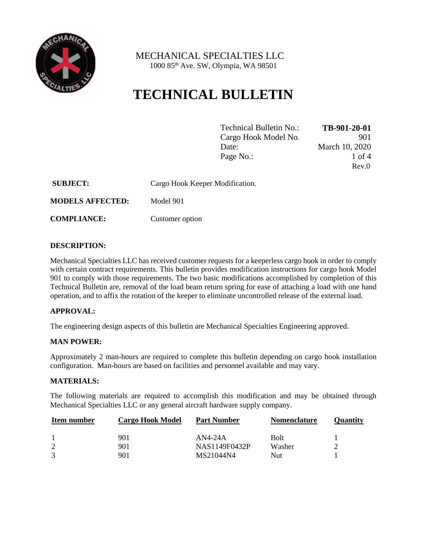

 MECHANICAL SPECIALTIES LLC 1000 85th Ave. SW, Olympia, WA 98501

# **TECHNICAL BULLETIN**

| Technical Bulletin No.: | TB-901-20-01   |
|-------------------------|----------------|
| Cargo Hook Model No.    | 901            |
| Date:                   | March 10, 2020 |
| Page No.:               | 1 of 4         |
|                         | Rev.0          |

| <b>SUBJECT:</b>         | Cargo Hook Keeper Modification. |
|-------------------------|---------------------------------|
| <b>MODELS AFFECTED:</b> | Model 901                       |

**COMPLIANCE:** Customer option

### **DESCRIPTION:**

Mechanical Specialties LLC has received customer requests for a keeperless cargo hook in order to comply with certain contract requirements. This bulletin provides modification instructions for cargo hook Model 901 to comply with those requirements. The two basic modifications accomplished by completion of this Technical Bulletin are, removal of the load beam return spring for ease of attaching a load with one hand operation, and to affix the rotation of the keeper to eliminate uncontrolled release of the external load.

### **APPROVAL:**

The engineering design aspects of this bulletin are Mechanical Specialties Engineering approved.

### **MAN POWER:**

Approximately 2 man-hours are required to complete this bulletin depending on cargo hook installation configuration. Man-hours are based on facilities and personnel available and may vary.

#### **MATERIALS:**

The following materials are required to accomplish this modification and may be obtained through Mechanical Specialties LLC or any general aircraft hardware supply company.

| Item number | <b>Cargo Hook Model</b> | <b>Part Number</b> | <b>Nomenclature</b> | Ouantitv |
|-------------|-------------------------|--------------------|---------------------|----------|
|             | 901                     | $AN4-24A$          | <b>Bolt</b>         |          |
|             | 901                     | NAS1149F0432P      | Washer              |          |
|             | 901                     | MS21044N4          | Nut                 |          |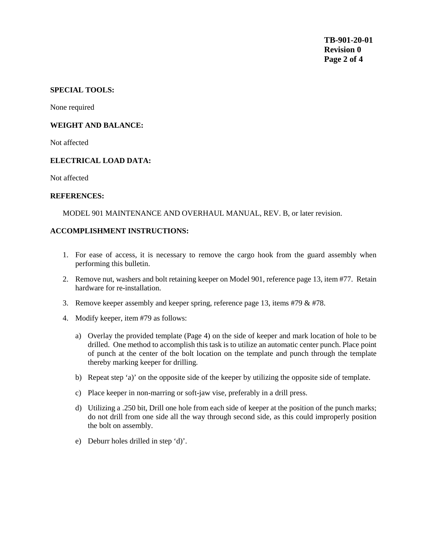## **SPECIAL TOOLS:**

None required

#### **WEIGHT AND BALANCE:**

Not affected

#### **ELECTRICAL LOAD DATA:**

Not affected

#### **REFERENCES:**

MODEL 901 MAINTENANCE AND OVERHAUL MANUAL, REV. B, or later revision.

#### **ACCOMPLISHMENT INSTRUCTIONS:**

- 1. For ease of access, it is necessary to remove the cargo hook from the guard assembly when performing this bulletin.
- 2. Remove nut, washers and bolt retaining keeper on Model 901, reference page 13, item #77. Retain hardware for re-installation.
- 3. Remove keeper assembly and keeper spring, reference page 13, items #79  $&$  #78.
- 4. Modify keeper, item #79 as follows:
	- a) Overlay the provided template (Page 4) on the side of keeper and mark location of hole to be drilled. One method to accomplish this task is to utilize an automatic center punch. Place point of punch at the center of the bolt location on the template and punch through the template thereby marking keeper for drilling.
	- b) Repeat step 'a)' on the opposite side of the keeper by utilizing the opposite side of template.
	- c) Place keeper in non-marring or soft-jaw vise, preferably in a drill press.
	- d) Utilizing a .250 bit, Drill one hole from each side of keeper at the position of the punch marks; do not drill from one side all the way through second side, as this could improperly position the bolt on assembly.
	- e) Deburr holes drilled in step 'd)'.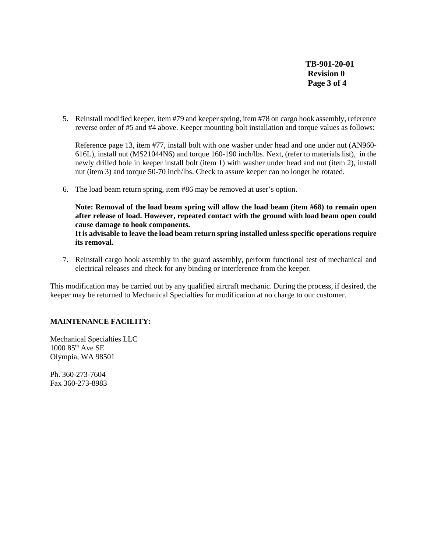**TB-901-20-01 Revision 0 Page 3 of 4**

5. Reinstall modified keeper, item #79 and keeper spring, item #78 on cargo hook assembly, reference reverse order of #5 and #4 above. Keeper mounting bolt installation and torque values as follows:

Reference page 13, item #77, install bolt with one washer under head and one under nut (AN960- 616L), install nut (MS21044N6) and torque 160-190 inch/lbs. Next, (refer to materials list), in the newly drilled hole in keeper install bolt (item 1) with washer under head and nut (item 2), install nut (item 3) and torque 50-70 inch/lbs. Check to assure keeper can no longer be rotated.

6. The load beam return spring, item #86 may be removed at user's option.

**Note: Removal of the load beam spring will allow the load beam (item #68) to remain open after release of load. However, repeated contact with the ground with load beam open could cause damage to hook components.** 

**It is advisable to leave the load beam return spring installed unless specific operations require its removal.**

7. Reinstall cargo hook assembly in the guard assembly, perform functional test of mechanical and electrical releases and check for any binding or interference from the keeper.

This modification may be carried out by any qualified aircraft mechanic. During the process, if desired, the keeper may be returned to Mechanical Specialties for modification at no charge to our customer.

# **MAINTENANCE FACILITY:**

Mechanical Specialties LLC  $1000$   $85<sup>th</sup>$  Ave SE Olympia, WA 98501

Ph. 360-273-7604 Fax 360-273-8983